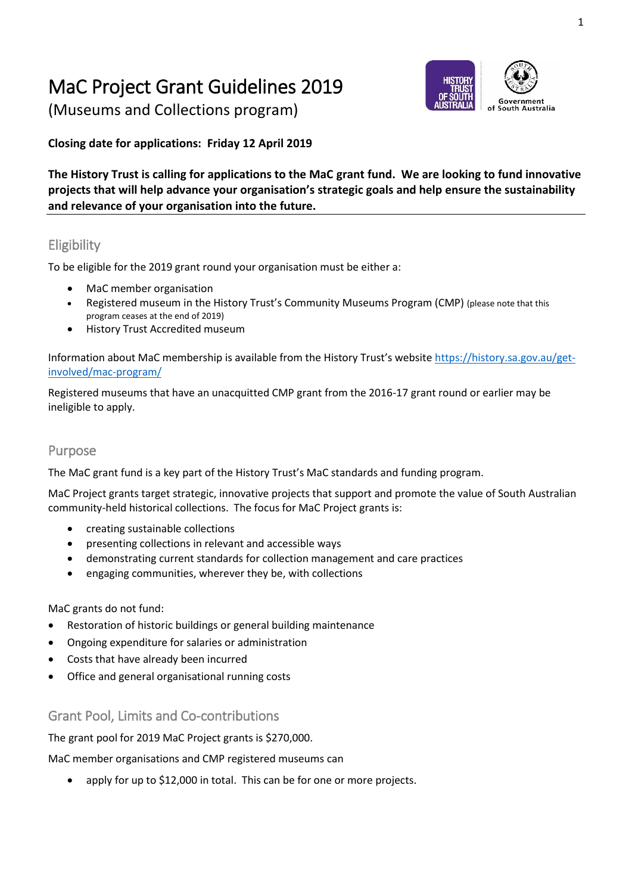# MaC Project Grant Guidelines 2019

(Museums and Collections program)

# of South Australia

### **Closing date for applications: Friday 12 April 2019**

**The History Trust is calling for applications to the MaC grant fund. We are looking to fund innovative projects that will help advance your organisation's strategic goals and help ensure the sustainability and relevance of your organisation into the future.**

# **Eligibility**

To be eligible for the 2019 grant round your organisation must be either a:

- MaC member organisation
- Registered museum in the History Trust's Community Museums Program (CMP) (please note that this program ceases at the end of 2019)
- History Trust Accredited museum

Information about MaC membership is available from the History Trust's website [https://history.sa.gov.au/get](https://history.sa.gov.au/get-involved/mac-program/)[involved/mac-program/](https://history.sa.gov.au/get-involved/mac-program/)

Registered museums that have an unacquitted CMP grant from the 2016-17 grant round or earlier may be ineligible to apply.

#### Purpose

The MaC grant fund is a key part of the History Trust's MaC standards and funding program.

MaC Project grants target strategic, innovative projects that support and promote the value of South Australian community-held historical collections. The focus for MaC Project grants is:

- creating sustainable collections
- presenting collections in relevant and accessible ways
- demonstrating current standards for collection management and care practices
- engaging communities, wherever they be, with collections

#### MaC grants do not fund:

- Restoration of historic buildings or general building maintenance
- Ongoing expenditure for salaries or administration
- Costs that have already been incurred
- Office and general organisational running costs

Grant Pool, Limits and Co-contributions

The grant pool for 2019 MaC Project grants is \$270,000.

MaC member organisations and CMP registered museums can

apply for up to \$12,000 in total. This can be for one or more projects.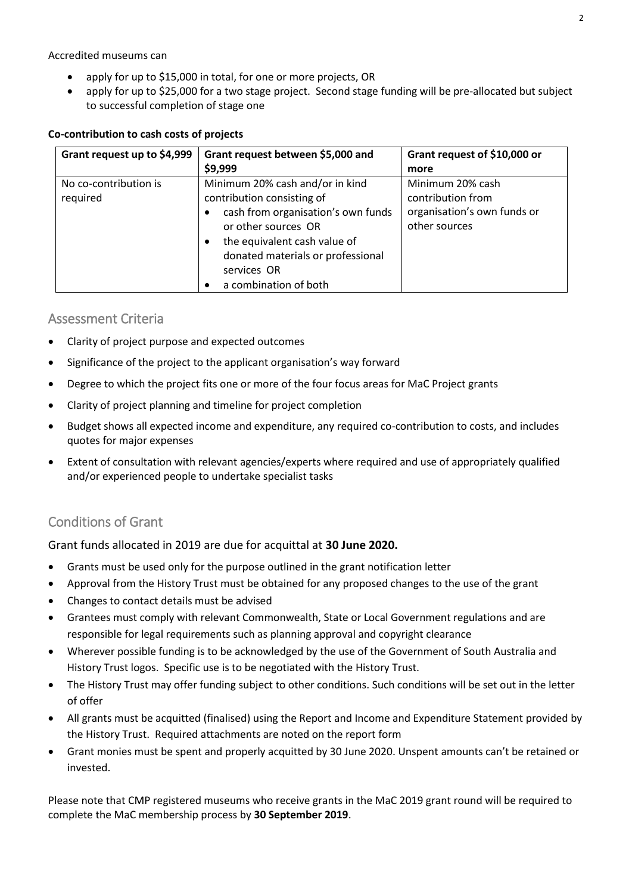Accredited museums can

- apply for up to \$15,000 in total, for one or more projects, OR
- apply for up to \$25,000 for a two stage project. Second stage funding will be pre-allocated but subject to successful completion of stage one

#### **Co-contribution to cash costs of projects**

| Grant request up to \$4,999       | Grant request between \$5,000 and                                                                                                                                                    | Grant request of \$10,000 or                                                          |
|-----------------------------------|--------------------------------------------------------------------------------------------------------------------------------------------------------------------------------------|---------------------------------------------------------------------------------------|
|                                   | \$9,999                                                                                                                                                                              | more                                                                                  |
| No co-contribution is<br>required | Minimum 20% cash and/or in kind<br>contribution consisting of<br>cash from organisation's own funds<br>$\bullet$<br>or other sources OR<br>the equivalent cash value of<br>$\bullet$ | Minimum 20% cash<br>contribution from<br>organisation's own funds or<br>other sources |
|                                   | donated materials or professional<br>services OR<br>a combination of both                                                                                                            |                                                                                       |

#### Assessment Criteria

- Clarity of project purpose and expected outcomes
- Significance of the project to the applicant organisation's way forward
- Degree to which the project fits one or more of the four focus areas for MaC Project grants
- Clarity of project planning and timeline for project completion
- Budget shows all expected income and expenditure, any required co-contribution to costs, and includes quotes for major expenses
- Extent of consultation with relevant agencies/experts where required and use of appropriately qualified and/or experienced people to undertake specialist tasks

#### Conditions of Grant

#### Grant funds allocated in 2019 are due for acquittal at **30 June 2020.**

- Grants must be used only for the purpose outlined in the grant notification letter
- Approval from the History Trust must be obtained for any proposed changes to the use of the grant
- Changes to contact details must be advised
- Grantees must comply with relevant Commonwealth, State or Local Government regulations and are responsible for legal requirements such as planning approval and copyright clearance
- Wherever possible funding is to be acknowledged by the use of the Government of South Australia and History Trust logos. Specific use is to be negotiated with the History Trust.
- The History Trust may offer funding subject to other conditions. Such conditions will be set out in the letter of offer
- All grants must be acquitted (finalised) using the Report and Income and Expenditure Statement provided by the History Trust. Required attachments are noted on the report form
- Grant monies must be spent and properly acquitted by 30 June 2020. Unspent amounts can't be retained or invested.

Please note that CMP registered museums who receive grants in the MaC 2019 grant round will be required to complete the MaC membership process by **30 September 2019**.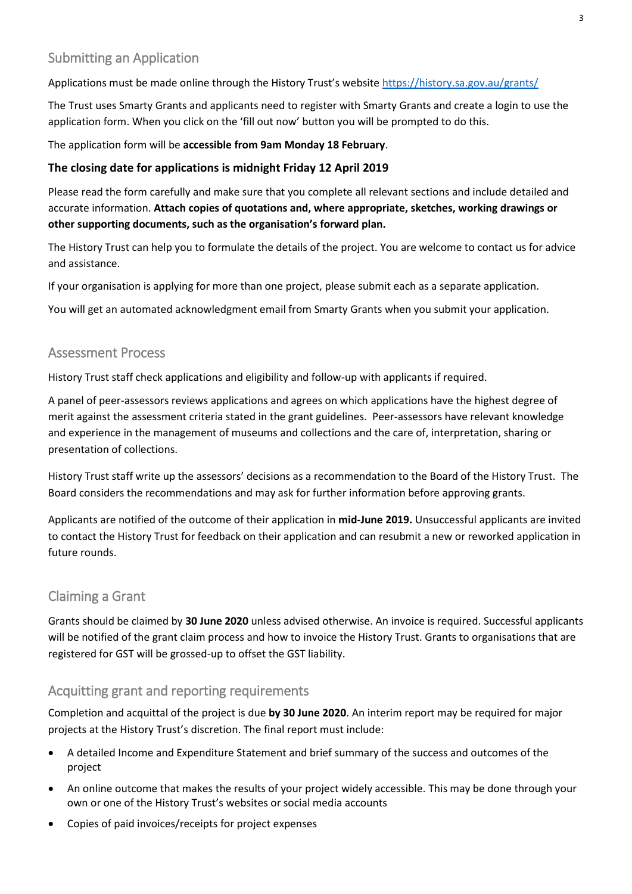# Submitting an Application

Applications must be made online through the History Trust's website <https://history.sa.gov.au/grants/>

The Trust uses Smarty Grants and applicants need to register with Smarty Grants and create a login to use the application form. When you click on the 'fill out now' button you will be prompted to do this.

The application form will be **accessible from 9am Monday 18 February**.

#### **The closing date for applications is midnight Friday 12 April 2019**

Please read the form carefully and make sure that you complete all relevant sections and include detailed and accurate information. **Attach copies of quotations and, where appropriate, sketches, working drawings or other supporting documents, such as the organisation's forward plan.**

The History Trust can help you to formulate the details of the project. You are welcome to contact us for advice and assistance.

If your organisation is applying for more than one project, please submit each as a separate application.

You will get an automated acknowledgment email from Smarty Grants when you submit your application.

#### Assessment Process

History Trust staff check applications and eligibility and follow-up with applicants if required.

A panel of peer-assessors reviews applications and agrees on which applications have the highest degree of merit against the assessment criteria stated in the grant guidelines. Peer-assessors have relevant knowledge and experience in the management of museums and collections and the care of, interpretation, sharing or presentation of collections.

History Trust staff write up the assessors' decisions as a recommendation to the Board of the History Trust. The Board considers the recommendations and may ask for further information before approving grants.

Applicants are notified of the outcome of their application in **mid-June 2019.** Unsuccessful applicants are invited to contact the History Trust for feedback on their application and can resubmit a new or reworked application in future rounds.

#### Claiming a Grant

Grants should be claimed by **30 June 2020** unless advised otherwise. An invoice is required. Successful applicants will be notified of the grant claim process and how to invoice the History Trust. Grants to organisations that are registered for GST will be grossed-up to offset the GST liability.

#### Acquitting grant and reporting requirements

Completion and acquittal of the project is due **by 30 June 2020**. An interim report may be required for major projects at the History Trust's discretion. The final report must include:

- A detailed Income and Expenditure Statement and brief summary of the success and outcomes of the project
- An online outcome that makes the results of your project widely accessible. This may be done through your own or one of the History Trust's websites or social media accounts
- Copies of paid invoices/receipts for project expenses